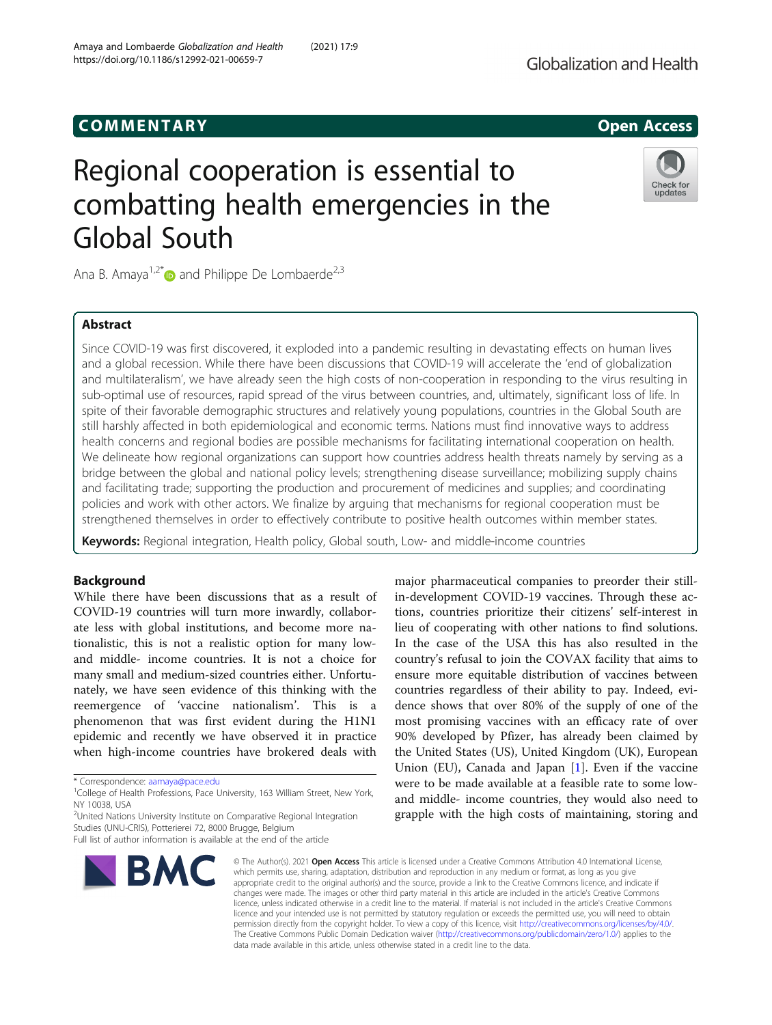# Regional cooperation is essential to combatting health emergencies in the Global South



Ana B. Amaya<sup>1,2\*</sup> and Philippe De Lombaerde<sup>2,3</sup>

## Abstract

Since COVID-19 was first discovered, it exploded into a pandemic resulting in devastating effects on human lives and a global recession. While there have been discussions that COVID-19 will accelerate the 'end of globalization and multilateralism', we have already seen the high costs of non-cooperation in responding to the virus resulting in sub-optimal use of resources, rapid spread of the virus between countries, and, ultimately, significant loss of life. In spite of their favorable demographic structures and relatively young populations, countries in the Global South are still harshly affected in both epidemiological and economic terms. Nations must find innovative ways to address health concerns and regional bodies are possible mechanisms for facilitating international cooperation on health. We delineate how regional organizations can support how countries address health threats namely by serving as a bridge between the global and national policy levels; strengthening disease surveillance; mobilizing supply chains and facilitating trade; supporting the production and procurement of medicines and supplies; and coordinating policies and work with other actors. We finalize by arguing that mechanisms for regional cooperation must be strengthened themselves in order to effectively contribute to positive health outcomes within member states.

Keywords: Regional integration, Health policy, Global south, Low- and middle-income countries

## Background

While there have been discussions that as a result of COVID-19 countries will turn more inwardly, collaborate less with global institutions, and become more nationalistic, this is not a realistic option for many lowand middle- income countries. It is not a choice for many small and medium-sized countries either. Unfortunately, we have seen evidence of this thinking with the reemergence of 'vaccine nationalism'. This is a phenomenon that was first evident during the H1N1 epidemic and recently we have observed it in practice when high-income countries have brokered deals with

<sup>2</sup>United Nations University Institute on Comparative Regional Integration Studies (UNU-CRIS), Potterierei 72, 8000 Brugge, Belgium

Full list of author information is available at the end of the article



major pharmaceutical companies to preorder their stillin-development COVID-19 vaccines. Through these actions, countries prioritize their citizens' self-interest in lieu of cooperating with other nations to find solutions. In the case of the USA this has also resulted in the country's refusal to join the COVAX facility that aims to ensure more equitable distribution of vaccines between countries regardless of their ability to pay. Indeed, evidence shows that over 80% of the supply of one of the most promising vaccines with an efficacy rate of over 90% developed by Pfizer, has already been claimed by the United States (US), United Kingdom (UK), European Union (EU), Canada and Japan  $[1]$  $[1]$  $[1]$ . Even if the vaccine were to be made available at a feasible rate to some lowand middle- income countries, they would also need to grapple with the high costs of maintaining, storing and

© The Author(s), 2021 **Open Access** This article is licensed under a Creative Commons Attribution 4.0 International License, which permits use, sharing, adaptation, distribution and reproduction in any medium or format, as long as you give appropriate credit to the original author(s) and the source, provide a link to the Creative Commons licence, and indicate if changes were made. The images or other third party material in this article are included in the article's Creative Commons licence, unless indicated otherwise in a credit line to the material. If material is not included in the article's Creative Commons licence and your intended use is not permitted by statutory regulation or exceeds the permitted use, you will need to obtain permission directly from the copyright holder. To view a copy of this licence, visit [http://creativecommons.org/licenses/by/4.0/.](http://creativecommons.org/licenses/by/4.0/) The Creative Commons Public Domain Dedication waiver [\(http://creativecommons.org/publicdomain/zero/1.0/](http://creativecommons.org/publicdomain/zero/1.0/)) applies to the data made available in this article, unless otherwise stated in a credit line to the data.

<sup>\*</sup> Correspondence: [aamaya@pace.edu](mailto:aamaya@pace.edu) <sup>1</sup>

<sup>&</sup>lt;sup>1</sup>College of Health Professions, Pace University, 163 William Street, New York, NY 10038, USA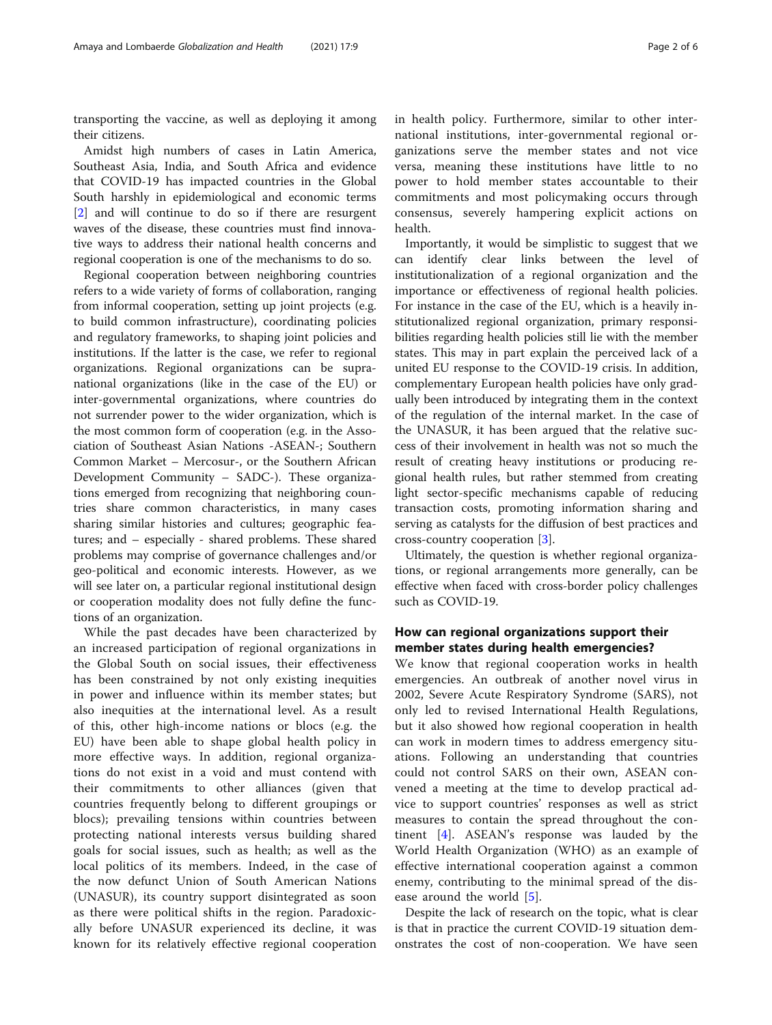transporting the vaccine, as well as deploying it among their citizens.

Amidst high numbers of cases in Latin America, Southeast Asia, India, and South Africa and evidence that COVID-19 has impacted countries in the Global South harshly in epidemiological and economic terms [[2\]](#page-4-0) and will continue to do so if there are resurgent waves of the disease, these countries must find innovative ways to address their national health concerns and regional cooperation is one of the mechanisms to do so.

Regional cooperation between neighboring countries refers to a wide variety of forms of collaboration, ranging from informal cooperation, setting up joint projects (e.g. to build common infrastructure), coordinating policies and regulatory frameworks, to shaping joint policies and institutions. If the latter is the case, we refer to regional organizations. Regional organizations can be supranational organizations (like in the case of the EU) or inter-governmental organizations, where countries do not surrender power to the wider organization, which is the most common form of cooperation (e.g. in the Association of Southeast Asian Nations -ASEAN-; Southern Common Market – Mercosur-, or the Southern African Development Community – SADC-). These organizations emerged from recognizing that neighboring countries share common characteristics, in many cases sharing similar histories and cultures; geographic features; and – especially - shared problems. These shared problems may comprise of governance challenges and/or geo-political and economic interests. However, as we will see later on, a particular regional institutional design or cooperation modality does not fully define the functions of an organization.

While the past decades have been characterized by an increased participation of regional organizations in the Global South on social issues, their effectiveness has been constrained by not only existing inequities in power and influence within its member states; but also inequities at the international level. As a result of this, other high-income nations or blocs (e.g. the EU) have been able to shape global health policy in more effective ways. In addition, regional organizations do not exist in a void and must contend with their commitments to other alliances (given that countries frequently belong to different groupings or blocs); prevailing tensions within countries between protecting national interests versus building shared goals for social issues, such as health; as well as the local politics of its members. Indeed, in the case of the now defunct Union of South American Nations (UNASUR), its country support disintegrated as soon as there were political shifts in the region. Paradoxically before UNASUR experienced its decline, it was known for its relatively effective regional cooperation

in health policy. Furthermore, similar to other international institutions, inter-governmental regional organizations serve the member states and not vice versa, meaning these institutions have little to no power to hold member states accountable to their commitments and most policymaking occurs through consensus, severely hampering explicit actions on health.

Importantly, it would be simplistic to suggest that we can identify clear links between the level of institutionalization of a regional organization and the importance or effectiveness of regional health policies. For instance in the case of the EU, which is a heavily institutionalized regional organization, primary responsibilities regarding health policies still lie with the member states. This may in part explain the perceived lack of a united EU response to the COVID-19 crisis. In addition, complementary European health policies have only gradually been introduced by integrating them in the context of the regulation of the internal market. In the case of the UNASUR, it has been argued that the relative success of their involvement in health was not so much the result of creating heavy institutions or producing regional health rules, but rather stemmed from creating light sector-specific mechanisms capable of reducing transaction costs, promoting information sharing and serving as catalysts for the diffusion of best practices and cross-country cooperation [\[3](#page-4-0)].

Ultimately, the question is whether regional organizations, or regional arrangements more generally, can be effective when faced with cross-border policy challenges such as COVID-19.

## How can regional organizations support their member states during health emergencies?

We know that regional cooperation works in health emergencies. An outbreak of another novel virus in 2002, Severe Acute Respiratory Syndrome (SARS), not only led to revised International Health Regulations, but it also showed how regional cooperation in health can work in modern times to address emergency situations. Following an understanding that countries could not control SARS on their own, ASEAN convened a meeting at the time to develop practical advice to support countries' responses as well as strict measures to contain the spread throughout the continent  $[4]$  $[4]$ . ASEAN's response was lauded by the World Health Organization (WHO) as an example of effective international cooperation against a common enemy, contributing to the minimal spread of the disease around the world [[5\]](#page-4-0).

Despite the lack of research on the topic, what is clear is that in practice the current COVID-19 situation demonstrates the cost of non-cooperation. We have seen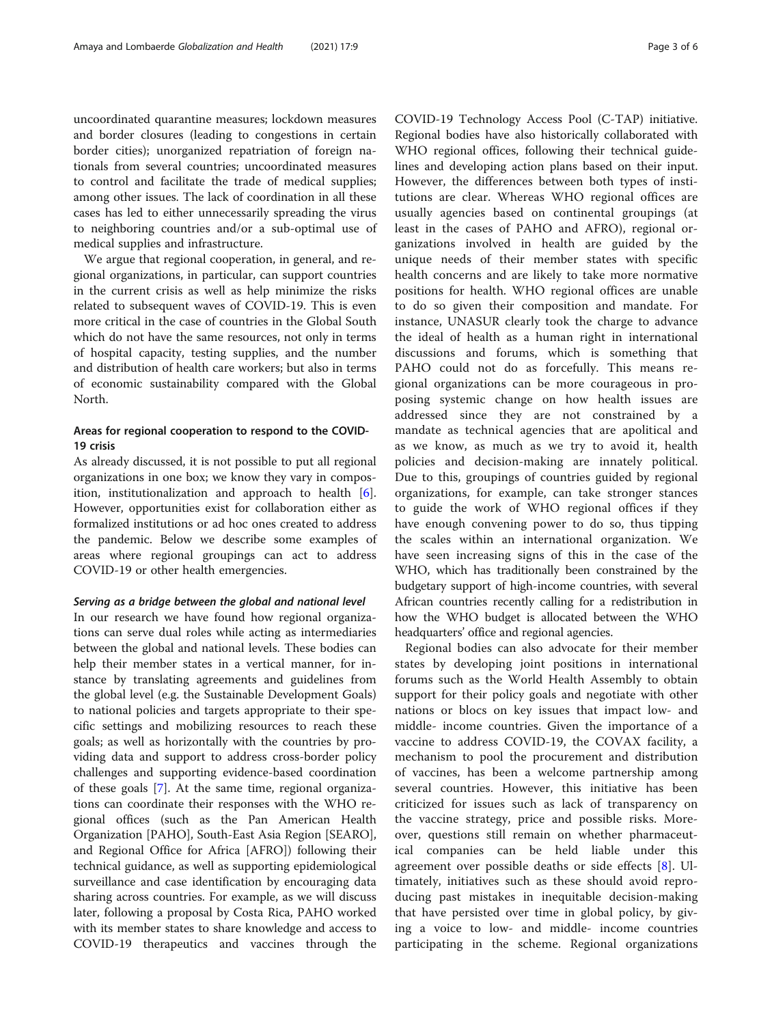uncoordinated quarantine measures; lockdown measures and border closures (leading to congestions in certain border cities); unorganized repatriation of foreign nationals from several countries; uncoordinated measures to control and facilitate the trade of medical supplies; among other issues. The lack of coordination in all these cases has led to either unnecessarily spreading the virus to neighboring countries and/or a sub-optimal use of medical supplies and infrastructure.

We argue that regional cooperation, in general, and regional organizations, in particular, can support countries in the current crisis as well as help minimize the risks related to subsequent waves of COVID-19. This is even more critical in the case of countries in the Global South which do not have the same resources, not only in terms of hospital capacity, testing supplies, and the number and distribution of health care workers; but also in terms of economic sustainability compared with the Global North.

## Areas for regional cooperation to respond to the COVID-19 crisis

As already discussed, it is not possible to put all regional organizations in one box; we know they vary in composition, institutionalization and approach to health [\[6](#page-4-0)]. However, opportunities exist for collaboration either as formalized institutions or ad hoc ones created to address the pandemic. Below we describe some examples of areas where regional groupings can act to address COVID-19 or other health emergencies.

### Serving as a bridge between the global and national level

In our research we have found how regional organizations can serve dual roles while acting as intermediaries between the global and national levels. These bodies can help their member states in a vertical manner, for instance by translating agreements and guidelines from the global level (e.g. the Sustainable Development Goals) to national policies and targets appropriate to their specific settings and mobilizing resources to reach these goals; as well as horizontally with the countries by providing data and support to address cross-border policy challenges and supporting evidence-based coordination of these goals [\[7](#page-4-0)]. At the same time, regional organizations can coordinate their responses with the WHO regional offices (such as the Pan American Health Organization [PAHO], South-East Asia Region [SEARO], and Regional Office for Africa [AFRO]) following their technical guidance, as well as supporting epidemiological surveillance and case identification by encouraging data sharing across countries. For example, as we will discuss later, following a proposal by Costa Rica, PAHO worked with its member states to share knowledge and access to COVID-19 therapeutics and vaccines through the

COVID-19 Technology Access Pool (C-TAP) initiative. Regional bodies have also historically collaborated with WHO regional offices, following their technical guidelines and developing action plans based on their input. However, the differences between both types of institutions are clear. Whereas WHO regional offices are usually agencies based on continental groupings (at least in the cases of PAHO and AFRO), regional organizations involved in health are guided by the unique needs of their member states with specific health concerns and are likely to take more normative positions for health. WHO regional offices are unable to do so given their composition and mandate. For instance, UNASUR clearly took the charge to advance the ideal of health as a human right in international discussions and forums, which is something that PAHO could not do as forcefully. This means regional organizations can be more courageous in proposing systemic change on how health issues are addressed since they are not constrained by a mandate as technical agencies that are apolitical and as we know, as much as we try to avoid it, health policies and decision-making are innately political. Due to this, groupings of countries guided by regional organizations, for example, can take stronger stances to guide the work of WHO regional offices if they have enough convening power to do so, thus tipping the scales within an international organization. We have seen increasing signs of this in the case of the WHO, which has traditionally been constrained by the budgetary support of high-income countries, with several African countries recently calling for a redistribution in how the WHO budget is allocated between the WHO headquarters' office and regional agencies.

Regional bodies can also advocate for their member states by developing joint positions in international forums such as the World Health Assembly to obtain support for their policy goals and negotiate with other nations or blocs on key issues that impact low- and middle- income countries. Given the importance of a vaccine to address COVID-19, the COVAX facility, a mechanism to pool the procurement and distribution of vaccines, has been a welcome partnership among several countries. However, this initiative has been criticized for issues such as lack of transparency on the vaccine strategy, price and possible risks. Moreover, questions still remain on whether pharmaceutical companies can be held liable under this agreement over possible deaths or side effects [\[8](#page-4-0)]. Ultimately, initiatives such as these should avoid reproducing past mistakes in inequitable decision-making that have persisted over time in global policy, by giving a voice to low- and middle- income countries participating in the scheme. Regional organizations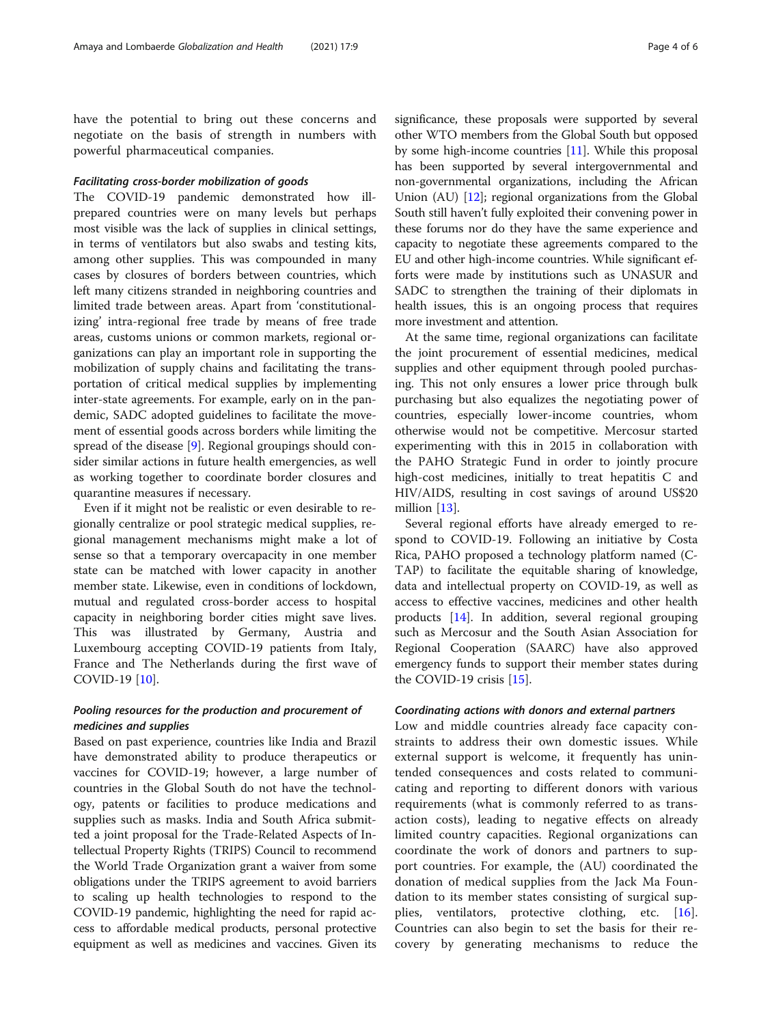have the potential to bring out these concerns and negotiate on the basis of strength in numbers with powerful pharmaceutical companies.

## Facilitating cross-border mobilization of goods

The COVID-19 pandemic demonstrated how illprepared countries were on many levels but perhaps most visible was the lack of supplies in clinical settings, in terms of ventilators but also swabs and testing kits, among other supplies. This was compounded in many cases by closures of borders between countries, which left many citizens stranded in neighboring countries and limited trade between areas. Apart from 'constitutionalizing' intra-regional free trade by means of free trade areas, customs unions or common markets, regional organizations can play an important role in supporting the mobilization of supply chains and facilitating the transportation of critical medical supplies by implementing inter-state agreements. For example, early on in the pandemic, SADC adopted guidelines to facilitate the movement of essential goods across borders while limiting the spread of the disease [\[9](#page-4-0)]. Regional groupings should consider similar actions in future health emergencies, as well as working together to coordinate border closures and quarantine measures if necessary.

Even if it might not be realistic or even desirable to regionally centralize or pool strategic medical supplies, regional management mechanisms might make a lot of sense so that a temporary overcapacity in one member state can be matched with lower capacity in another member state. Likewise, even in conditions of lockdown, mutual and regulated cross-border access to hospital capacity in neighboring border cities might save lives. This was illustrated by Germany, Austria and Luxembourg accepting COVID-19 patients from Italy, France and The Netherlands during the first wave of COVID-19 [[10\]](#page-4-0).

## Pooling resources for the production and procurement of medicines and supplies

Based on past experience, countries like India and Brazil have demonstrated ability to produce therapeutics or vaccines for COVID-19; however, a large number of countries in the Global South do not have the technology, patents or facilities to produce medications and supplies such as masks. India and South Africa submitted a joint proposal for the Trade-Related Aspects of Intellectual Property Rights (TRIPS) Council to recommend the World Trade Organization grant a waiver from some obligations under the TRIPS agreement to avoid barriers to scaling up health technologies to respond to the COVID-19 pandemic, highlighting the need for rapid access to affordable medical products, personal protective equipment as well as medicines and vaccines. Given its

significance, these proposals were supported by several other WTO members from the Global South but opposed by some high-income countries [\[11\]](#page-4-0). While this proposal has been supported by several intergovernmental and non-governmental organizations, including the African Union  $(AU)$   $[12]$  $[12]$  $[12]$ ; regional organizations from the Global South still haven't fully exploited their convening power in these forums nor do they have the same experience and capacity to negotiate these agreements compared to the EU and other high-income countries. While significant efforts were made by institutions such as UNASUR and SADC to strengthen the training of their diplomats in health issues, this is an ongoing process that requires more investment and attention.

At the same time, regional organizations can facilitate the joint procurement of essential medicines, medical supplies and other equipment through pooled purchasing. This not only ensures a lower price through bulk purchasing but also equalizes the negotiating power of countries, especially lower-income countries, whom otherwise would not be competitive. Mercosur started experimenting with this in 2015 in collaboration with the PAHO Strategic Fund in order to jointly procure high-cost medicines, initially to treat hepatitis C and HIV/AIDS, resulting in cost savings of around US\$20 million [[13\]](#page-4-0).

Several regional efforts have already emerged to respond to COVID-19. Following an initiative by Costa Rica, PAHO proposed a technology platform named (C-TAP) to facilitate the equitable sharing of knowledge, data and intellectual property on COVID-19, as well as access to effective vaccines, medicines and other health products [\[14\]](#page-4-0). In addition, several regional grouping such as Mercosur and the South Asian Association for Regional Cooperation (SAARC) have also approved emergency funds to support their member states during the COVID-19 crisis [\[15](#page-4-0)].

## Coordinating actions with donors and external partners

Low and middle countries already face capacity constraints to address their own domestic issues. While external support is welcome, it frequently has unintended consequences and costs related to communicating and reporting to different donors with various requirements (what is commonly referred to as transaction costs), leading to negative effects on already limited country capacities. Regional organizations can coordinate the work of donors and partners to support countries. For example, the (AU) coordinated the donation of medical supplies from the Jack Ma Foundation to its member states consisting of surgical supplies, ventilators, protective clothing, etc. [\[16](#page-5-0)]. Countries can also begin to set the basis for their recovery by generating mechanisms to reduce the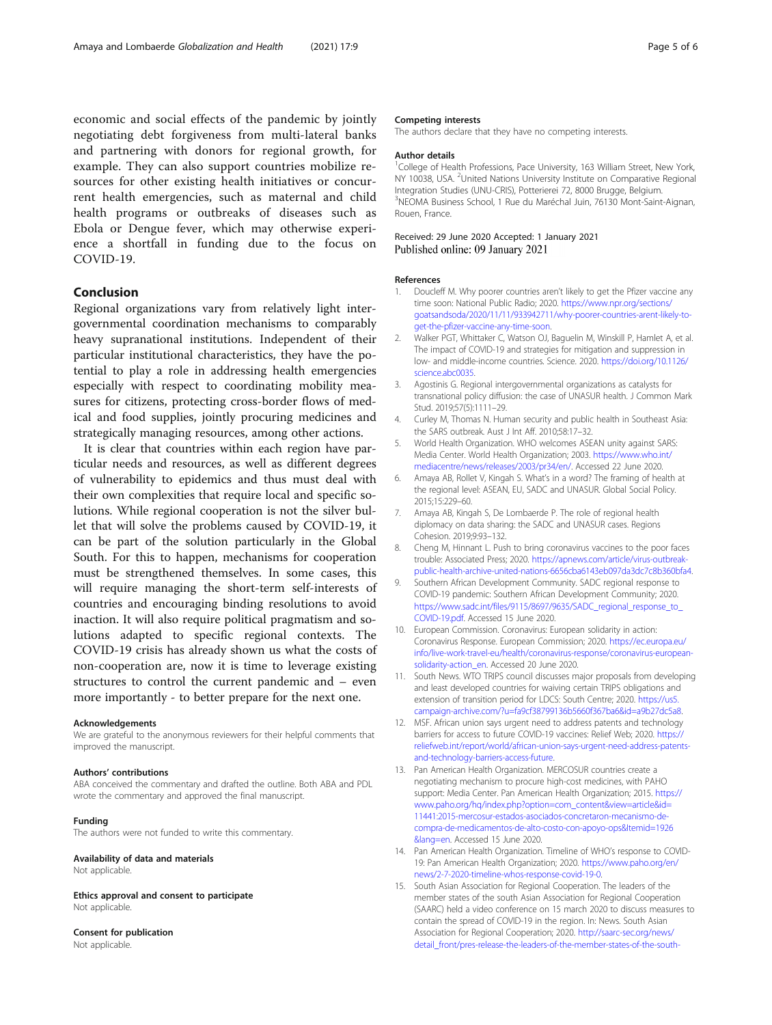<span id="page-4-0"></span>economic and social effects of the pandemic by jointly negotiating debt forgiveness from multi-lateral banks and partnering with donors for regional growth, for example. They can also support countries mobilize resources for other existing health initiatives or concurrent health emergencies, such as maternal and child health programs or outbreaks of diseases such as Ebola or Dengue fever, which may otherwise experience a shortfall in funding due to the focus on COVID-19.

#### Conclusion

Regional organizations vary from relatively light intergovernmental coordination mechanisms to comparably heavy supranational institutions. Independent of their particular institutional characteristics, they have the potential to play a role in addressing health emergencies especially with respect to coordinating mobility measures for citizens, protecting cross-border flows of medical and food supplies, jointly procuring medicines and strategically managing resources, among other actions.

It is clear that countries within each region have particular needs and resources, as well as different degrees of vulnerability to epidemics and thus must deal with their own complexities that require local and specific solutions. While regional cooperation is not the silver bullet that will solve the problems caused by COVID-19, it can be part of the solution particularly in the Global South. For this to happen, mechanisms for cooperation must be strengthened themselves. In some cases, this will require managing the short-term self-interests of countries and encouraging binding resolutions to avoid inaction. It will also require political pragmatism and solutions adapted to specific regional contexts. The COVID-19 crisis has already shown us what the costs of non-cooperation are, now it is time to leverage existing structures to control the current pandemic and – even more importantly - to better prepare for the next one.

#### Acknowledgements

We are grateful to the anonymous reviewers for their helpful comments that improved the manuscript.

#### Authors' contributions

ABA conceived the commentary and drafted the outline. Both ABA and PDL wrote the commentary and approved the final manuscript.

#### Funding

The authors were not funded to write this commentary.

## Availability of data and materials

Not applicable.

Ethics approval and consent to participate Not applicable.

## Consent for publication

Not applicable.

#### Competing interests

The authors declare that they have no competing interests.

#### Author details

<sup>1</sup>College of Health Professions, Pace University, 163 William Street, New York NY 10038, USA. <sup>2</sup>United Nations University Institute on Comparative Regional Integration Studies (UNU-CRIS), Potterierei 72, 8000 Brugge, Belgium. 3 NEOMA Business School, 1 Rue du Maréchal Juin, 76130 Mont-Saint-Aignan, Rouen, France.

### Received: 29 June 2020 Accepted: 1 January 2021 Published online: 09 January 2021

#### References

- 1. Doucleff M. Why poorer countries aren't likely to get the Pfizer vaccine any time soon: National Public Radio; 2020. [https://www.npr.org/sections/](https://www.npr.org/sections/goatsandsoda/2020/11/11/933942711/why-poorer-countries-arent-likely-to-get-the-pfizer-vaccine-any-time-soon) [goatsandsoda/2020/11/11/933942711/why-poorer-countries-arent-likely-to](https://www.npr.org/sections/goatsandsoda/2020/11/11/933942711/why-poorer-countries-arent-likely-to-get-the-pfizer-vaccine-any-time-soon)[get-the-pfizer-vaccine-any-time-soon.](https://www.npr.org/sections/goatsandsoda/2020/11/11/933942711/why-poorer-countries-arent-likely-to-get-the-pfizer-vaccine-any-time-soon)
- 2. Walker PGT, Whittaker C, Watson OJ, Baguelin M, Winskill P, Hamlet A, et al. The impact of COVID-19 and strategies for mitigation and suppression in low- and middle-income countries. Science. 2020. [https://doi.org/10.1126/](https://doi.org/10.1126/science.abc0035) [science.abc0035.](https://doi.org/10.1126/science.abc0035)
- 3. Agostinis G. Regional intergovernmental organizations as catalysts for transnational policy diffusion: the case of UNASUR health. J Common Mark Stud. 2019;57(5):1111–29.
- 4. Curley M, Thomas N. Human security and public health in Southeast Asia: the SARS outbreak. Aust J Int Aff. 2010;58:17–32.
- 5. World Health Organization. WHO welcomes ASEAN unity against SARS: Media Center. World Health Organization; 2003. [https://www.who.int/](https://www.who.int/mediacentre/news/releases/2003/pr34/en/) [mediacentre/news/releases/2003/pr34/en/.](https://www.who.int/mediacentre/news/releases/2003/pr34/en/) Accessed 22 June 2020.
- 6. Amaya AB, Rollet V, Kingah S. What's in a word? The framing of health at the regional level: ASEAN, EU, SADC and UNASUR. Global Social Policy. 2015;15:229–60.
- 7. Amaya AB, Kingah S, De Lombaerde P. The role of regional health diplomacy on data sharing: the SADC and UNASUR cases. Regions Cohesion. 2019;9:93–132.
- 8. Cheng M, Hinnant L. Push to bring coronavirus vaccines to the poor faces trouble: Associated Press; 2020. [https://apnews.com/article/virus-outbreak](https://apnews.com/article/virus-outbreak-public-health-archive-united-nations-6656cba6143eb097da3dc7c8b360bfa4)[public-health-archive-united-nations-6656cba6143eb097da3dc7c8b360bfa4.](https://apnews.com/article/virus-outbreak-public-health-archive-united-nations-6656cba6143eb097da3dc7c8b360bfa4)
- 9. Southern African Development Community. SADC regional response to COVID-19 pandemic: Southern African Development Community; 2020. [https://www.sadc.int/files/9115/8697/9635/SADC\\_regional\\_response\\_to\\_](https://www.sadc.int/files/9115/8697/9635/SADC_regional_response_to_COVID-19.pdf) [COVID-19.pdf.](https://www.sadc.int/files/9115/8697/9635/SADC_regional_response_to_COVID-19.pdf) Accessed 15 June 2020.
- 10. European Commission. Coronavirus: European solidarity in action: Coronavirus Response. European Commission; 2020. [https://ec.europa.eu/](https://ec.europa.eu/info/live-work-travel-eu/health/coronavirus-response/coronavirus-european-solidarity-action_en) [info/live-work-travel-eu/health/coronavirus-response/coronavirus-european](https://ec.europa.eu/info/live-work-travel-eu/health/coronavirus-response/coronavirus-european-solidarity-action_en)[solidarity-action\\_en](https://ec.europa.eu/info/live-work-travel-eu/health/coronavirus-response/coronavirus-european-solidarity-action_en). Accessed 20 June 2020.
- 11. South News. WTO TRIPS council discusses major proposals from developing and least developed countries for waiving certain TRIPS obligations and extension of transition period for LDCS: South Centre; 2020. [https://us5.](https://us5.campaign-archive.com/?u=fa9cf38799136b5660f367ba6&id=a9b27dc5a8) [campaign-archive.com/?u=fa9cf38799136b5660f367ba6&id=a9b27dc5a8.](https://us5.campaign-archive.com/?u=fa9cf38799136b5660f367ba6&id=a9b27dc5a8)
- 12. MSF. African union says urgent need to address patents and technology barriers for access to future COVID-19 vaccines: Relief Web; 2020. [https://](https://reliefweb.int/report/world/african-union-says-urgent-need-address-patents-and-technology-barriers-access-future) [reliefweb.int/report/world/african-union-says-urgent-need-address-patents](https://reliefweb.int/report/world/african-union-says-urgent-need-address-patents-and-technology-barriers-access-future)[and-technology-barriers-access-future.](https://reliefweb.int/report/world/african-union-says-urgent-need-address-patents-and-technology-barriers-access-future)
- 13. Pan American Health Organization. MERCOSUR countries create a negotiating mechanism to procure high-cost medicines, with PAHO support: Media Center. Pan American Health Organization; 2015. [https://](https://www.paho.org/hq/index.php?option=com_content&view=article&id=11441:2015-mercosur-estados-asociados-concretaron-mecanismo-de-compra-de-medicamentos-de-alto-costo-con-apoyo-ops&Itemid=1926&lang=en) [www.paho.org/hq/index.php?option=com\\_content&view=article&id=](https://www.paho.org/hq/index.php?option=com_content&view=article&id=11441:2015-mercosur-estados-asociados-concretaron-mecanismo-de-compra-de-medicamentos-de-alto-costo-con-apoyo-ops&Itemid=1926&lang=en) [11441:2015-mercosur-estados-asociados-concretaron-mecanismo-de](https://www.paho.org/hq/index.php?option=com_content&view=article&id=11441:2015-mercosur-estados-asociados-concretaron-mecanismo-de-compra-de-medicamentos-de-alto-costo-con-apoyo-ops&Itemid=1926&lang=en)[compra-de-medicamentos-de-alto-costo-con-apoyo-ops&Itemid=1926](https://www.paho.org/hq/index.php?option=com_content&view=article&id=11441:2015-mercosur-estados-asociados-concretaron-mecanismo-de-compra-de-medicamentos-de-alto-costo-con-apoyo-ops&Itemid=1926&lang=en) [&lang=en](https://www.paho.org/hq/index.php?option=com_content&view=article&id=11441:2015-mercosur-estados-asociados-concretaron-mecanismo-de-compra-de-medicamentos-de-alto-costo-con-apoyo-ops&Itemid=1926&lang=en). Accessed 15 June 2020.
- 14. Pan American Health Organization. Timeline of WHO's response to COVID-19: Pan American Health Organization; 2020. [https://www.paho.org/en/](https://www.paho.org/en/news/2-7-2020-timeline-whos-response-covid-19-0) [news/2-7-2020-timeline-whos-response-covid-19-0.](https://www.paho.org/en/news/2-7-2020-timeline-whos-response-covid-19-0)
- 15. South Asian Association for Regional Cooperation. The leaders of the member states of the south Asian Association for Regional Cooperation (SAARC) held a video conference on 15 march 2020 to discuss measures to contain the spread of COVID-19 in the region. In: News. South Asian Association for Regional Cooperation; 2020. [http://saarc-sec.org/news/](http://saarc-sec.org/news/detail_front/pres-release-the-leaders-of-the-member-states-of-the-south-asian-association-for-regional-cooperation-saarc-held-a-video-conference-on-15-march-2020-to-discuss-measures-to-contain-the-spread-of-covid-19-in-the-region) [detail\\_front/pres-release-the-leaders-of-the-member-states-of-the-south-](http://saarc-sec.org/news/detail_front/pres-release-the-leaders-of-the-member-states-of-the-south-asian-association-for-regional-cooperation-saarc-held-a-video-conference-on-15-march-2020-to-discuss-measures-to-contain-the-spread-of-covid-19-in-the-region)